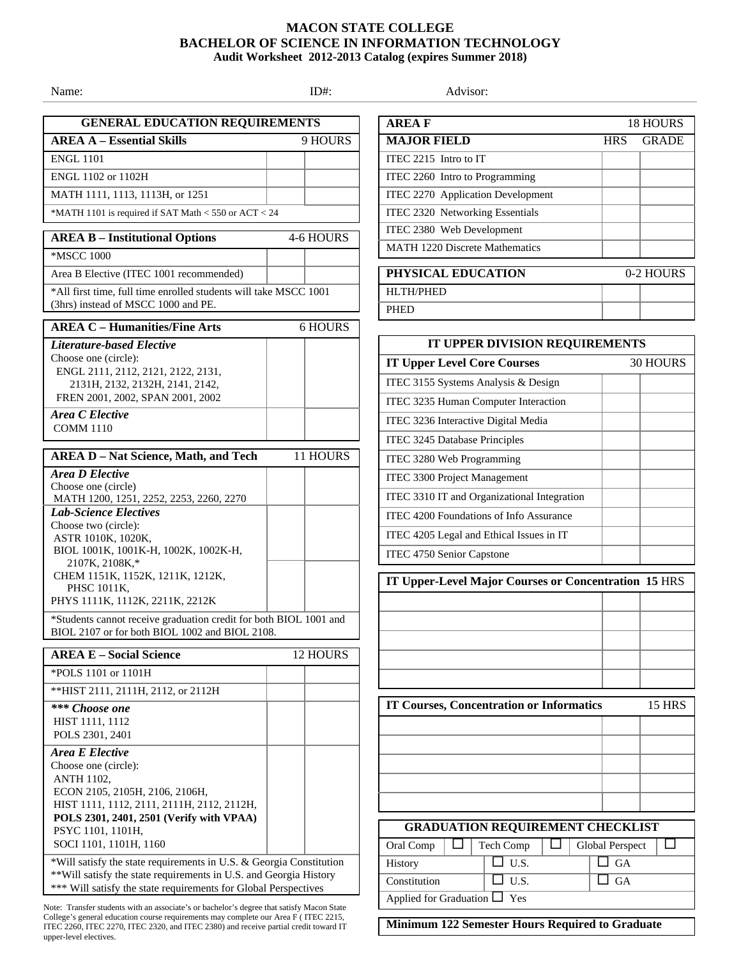## **MACON STATE COLLEGE BACHELOR OF SCIENCE IN INFORMATION TECHNOLOGY Audit Worksheet 2012-2013 Catalog (expires Summer 2018)**

Name: Advisor: ID#: ID#: Advisor:  **GENERAL EDUCATION REQUIREMENTS AREA A – Essential Skills** 9 HOURS ENGL 1101 ENGL 1102 or 1102H MATH 1111, 1113, 1113H, or 1251 \*MATH 1101 is required if SAT Math < 550 or ACT < 24 **AREA B – Institutional Options** 4-6 HOURS \*MSCC 1000 Area B Elective (ITEC 1001 recommended) \*All first time, full time enrolled students will take MSCC 1001 (3hrs) instead of MSCC 1000 and PE. **AREA C – Humanities/Fine Arts** 6 HOURS *Literature-based Elective* Choose one (circle): ENGL 2111, 2112, 2121, 2122, 2131, 2131H, 2132, 2132H, 2141, 2142, FREN 2001, 2002, SPAN 2001, 2002 *Area C Elective*  COMM 1110 **AREA D – Nat Science, Math, and Tech** 11 HOURS *Area D Elective* Choose one (circle) MATH 1200, 1251, 2252, 2253, 2260, 2270 *Lab-Science Electives* Choose two (circle): ASTR 1010K, 1020K, BIOL 1001K, 1001K-H, 1002K, 1002K-H, 2107K, 2108K,\* CHEM 1151K, 1152K, 1211K, 1212K, PHSC 1011K, PHYS 1111K, 1112K, 2211K, 2212K \*Students cannot receive graduation credit for both BIOL 1001 and BIOL 2107 or for both BIOL 1002 and BIOL 2108. **AREA E – Social Science** 12 HOURS \*POLS 1101 or 1101H \*\*HIST 2111, 2111H, 2112, or 2112H *\*\*\* Choose one*  HIST 1111, 1112 POLS 2301, 2401 *Area E Elective* Choose one (circle): ANTH 1102, ECON 2105, 2105H, 2106, 2106H, HIST 1111, 1112, 2111, 2111H, 2112, 2112H, **POLS 2301, 2401, 2501 (Verify with VPAA)**  PSYC 1101, 1101H, SOCI 1101, 1101H, 1160 \*Will satisfy the state requirements in U.S. & Georgia Constitution \*\*Will satisfy the state requirements in U.S. and Georgia History \*\*\* Will satisfy the state requirements for Global Perspectives **AREA F** 18 HOURS **MAJOR FIELD** HRS GRADE ITEC 2215 Intro to IT ITEC 2260 Intro to Programming ITEC 2270 Application Development ITEC 2320 Networking Essentials ITEC 2380 Web Development MATH 1220 Discrete Mathematics HLTH/PHED **PHED** ITEC 3155 Systems Analysis & Design ITEC 3236 Interactive Digital Media ITEC 3245 Database Principles ITEC 3280 Web Programming ITEC 3300 Project Management ITEC 4750 Senior Capstone  **GRADUATION REQUIREMENT CHECKLIST**

Note: Transfer students with an associate's or bachelor's degree that satisfy Macon State College's general education course requirements may complete our Area F ( ITEC 2215, ITEC 2260, ITEC 2270, ITEC 2320, and ITEC 2380) and receive partial credit toward IT

upper-level electives.

**PHYSICAL EDUCATION** 0-2 HOURS **IT UPPER DIVISION REQUIREMENTS IT Upper Level Core Courses** 30 HOURS ITEC 3235 Human Computer Interaction ITEC 3310 IT and Organizational Integration ITEC 4200 Foundations of Info Assurance ITEC 4205 Legal and Ethical Issues in IT **IT Upper-Level Major Courses or Concentration 15** HRS **IT Courses, Concentration or Informatics** 15 HRS

## Oral Comp  $\Box$  Tech Comp  $\Box$  Global Perspect  $\Box$ History  $\Box$  U.S.  $\Box$  GA  $\Box$  U.S.  $\Box$  GA Applied for Graduation  $\Box$  Yes

**Minimum 122 Semester Hours Required to Graduate**